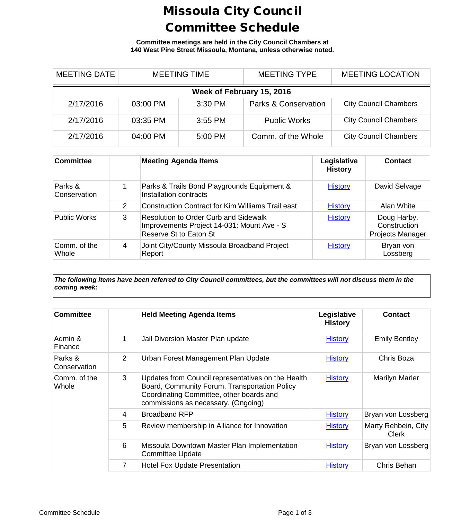## Missoula City Council Committee Schedule

**Committee meetings are held in the City Council Chambers at 140 West Pine Street Missoula, Montana, unless otherwise noted.**

| <b>MEETING DATE</b>       | <b>MEETING TIME</b> |           | <b>MEETING TYPE</b>             | <b>MEETING LOCATION</b>      |  |  |
|---------------------------|---------------------|-----------|---------------------------------|------------------------------|--|--|
| Week of February 15, 2016 |                     |           |                                 |                              |  |  |
| 2/17/2016                 | 03:00 PM            | $3:30$ PM | <b>Parks &amp; Conservation</b> | <b>City Council Chambers</b> |  |  |
| 2/17/2016                 | 03:35 PM            | $3:55$ PM | <b>Public Works</b>             | <b>City Council Chambers</b> |  |  |
| 2/17/2016                 | 04:00 PM            | 5:00 PM   | Comm. of the Whole              | <b>City Council Chambers</b> |  |  |

| <b>Committee</b>        |   | <b>Meeting Agenda Items</b>                                                                                   | Legislative<br><b>History</b> | Contact                                         |
|-------------------------|---|---------------------------------------------------------------------------------------------------------------|-------------------------------|-------------------------------------------------|
| Parks &<br>Conservation |   | Parks & Trails Bond Playgrounds Equipment &<br>Installation contracts                                         | <b>History</b>                | David Selvage                                   |
|                         | 2 | Construction Contract for Kim Williams Trail east                                                             | <b>History</b>                | Alan White                                      |
| <b>Public Works</b>     | 3 | Resolution to Order Curb and Sidewalk<br>Improvements Project 14-031: Mount Ave - S<br>Reserve St to Eaton St | <b>History</b>                | Doug Harby,<br>Construction<br>Projects Manager |
| Comm. of the<br>Whole   | 4 | Joint City/County Missoula Broadband Project<br>Report                                                        | <b>History</b>                | Bryan von<br>Lossberg                           |

*The following items have been referred to City Council committees, but the committees will not discuss them in the coming week:*

| <b>Committee</b>        |                | <b>Held Meeting Agenda Items</b>                                                                                                                                                       | Legislative<br><b>History</b> | <b>Contact</b>                      |
|-------------------------|----------------|----------------------------------------------------------------------------------------------------------------------------------------------------------------------------------------|-------------------------------|-------------------------------------|
| Admin &<br>Finance      | 1              | Jail Diversion Master Plan update                                                                                                                                                      | <b>History</b>                | <b>Emily Bentley</b>                |
| Parks &<br>Conservation | $\overline{2}$ | Urban Forest Management Plan Update                                                                                                                                                    | <b>History</b>                | Chris Boza                          |
| Comm. of the<br>Whole   | 3              | Updates from Council representatives on the Health<br>Board, Community Forum, Transportation Policy<br>Coordinating Committee, other boards and<br>commissions as necessary. (Ongoing) | <b>History</b>                | Marilyn Marler                      |
|                         | 4              | <b>Broadband RFP</b>                                                                                                                                                                   | <b>History</b>                | Bryan von Lossberg                  |
|                         | 5              | Review membership in Alliance for Innovation                                                                                                                                           | <b>History</b>                | Marty Rehbein, City<br><b>Clerk</b> |
|                         | 6              | Missoula Downtown Master Plan Implementation<br><b>Committee Update</b>                                                                                                                | <b>History</b>                | Bryan von Lossberg                  |
|                         | 7              | <b>Hotel Fox Update Presentation</b>                                                                                                                                                   | <b>History</b>                | Chris Behan                         |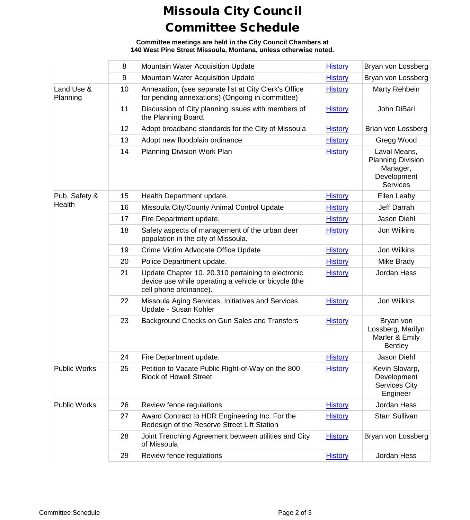## Missoula City Council Committee Schedule

**Committee meetings are held in the City Council Chambers at 140 West Pine Street Missoula, Montana, unless otherwise noted.**

|                        | 8  | Mountain Water Acquisition Update                                                                                                    | <b>History</b> | Bryan von Lossberg                                                                     |
|------------------------|----|--------------------------------------------------------------------------------------------------------------------------------------|----------------|----------------------------------------------------------------------------------------|
|                        | 9  | Mountain Water Acquisition Update                                                                                                    | <b>History</b> | Bryan von Lossberg                                                                     |
| Land Use &<br>Planning | 10 | Annexation, (see separate list at City Clerk's Office<br>for pending annexations) (Ongoing in committee)                             | <b>History</b> | Marty Rehbein                                                                          |
|                        | 11 | Discussion of City planning issues with members of<br>the Planning Board.                                                            | <b>History</b> | John DiBari                                                                            |
|                        | 12 | Adopt broadband standards for the City of Missoula                                                                                   | <b>History</b> | Brian von Lossberg                                                                     |
|                        | 13 | Adopt new floodplain ordinance                                                                                                       | <b>History</b> | Gregg Wood                                                                             |
|                        | 14 | Planning Division Work Plan                                                                                                          | <b>History</b> | Laval Means,<br><b>Planning Division</b><br>Manager,<br>Development<br><b>Services</b> |
| Pub. Safety &          | 15 | Health Department update.                                                                                                            | <b>History</b> | Ellen Leahy                                                                            |
| Health                 | 16 | Missoula City/County Animal Control Update                                                                                           | <b>History</b> | Jeff Darrah                                                                            |
|                        | 17 | Fire Department update.                                                                                                              | <b>History</b> | Jason Diehl                                                                            |
|                        | 18 | Safety aspects of management of the urban deer<br>population in the city of Missoula.                                                | <b>History</b> | Jon Wilkins                                                                            |
|                        | 19 | Crime Victim Advocate Office Update                                                                                                  | <b>History</b> | Jon Wilkins                                                                            |
|                        | 20 | Police Department update.                                                                                                            | <b>History</b> | Mike Brady                                                                             |
|                        | 21 | Update Chapter 10. 20.310 pertaining to electronic<br>device use while operating a vehicle or bicycle (the<br>cell phone ordinance). | <b>History</b> | Jordan Hess                                                                            |
|                        | 22 | Missoula Aging Services, Initiatives and Services<br>Update - Susan Kohler                                                           | <b>History</b> | Jon Wilkins                                                                            |
|                        | 23 | Background Checks on Gun Sales and Transfers                                                                                         | <b>History</b> | Bryan von<br>Lossberg, Marilyn<br>Marler & Emily<br><b>Bentley</b>                     |
|                        | 24 | Fire Department update.                                                                                                              | <b>History</b> | Jason Diehl                                                                            |
| <b>Public Works</b>    | 25 | Petition to Vacate Public Right-of-Way on the 800<br><b>Block of Howell Street</b>                                                   | <b>History</b> | Kevin Slovarp,<br>Development<br><b>Services City</b><br>Engineer                      |
| <b>Public Works</b>    | 26 | Review fence regulations                                                                                                             | <b>History</b> | Jordan Hess                                                                            |
|                        | 27 | Award Contract to HDR Engineering Inc. For the<br>Redesign of the Reserve Street Lift Station                                        | <b>History</b> | <b>Starr Sullivan</b>                                                                  |
|                        | 28 | Joint Trenching Agreement between utilities and City<br>of Missoula                                                                  | <b>History</b> | Bryan von Lossberg                                                                     |
|                        | 29 | Review fence regulations                                                                                                             | <b>History</b> | Jordan Hess                                                                            |